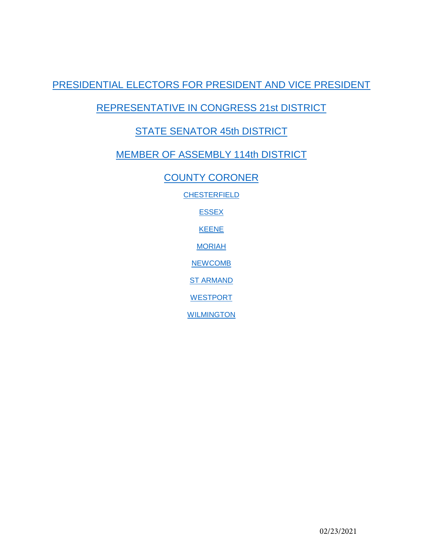<span id="page-0-0"></span>[PRESIDENTIAL ELECTORS FOR PRESIDENT AND VICE PRESIDENT](#page-1-0)

# [REPRESENTATIVE IN CONGRESS 21st DISTRICT](#page-4-0)

# [STATE SENATOR 45th DISTRICT](#page-5-0)

# [MEMBER OF ASSEMBLY 114th DISTRICT](#page-6-0)

## [COUNTY CORONER](#page-7-0)

**[CHESTERFIELD](#page-8-0)** 

**[ESSEX](#page-9-0)** 

**[KEENE](#page-10-0)** 

[MORIAH](#page-11-0)

**[NEWCOMB](#page-12-0)** 

[ST ARMAND](#page-13-0)

**[WESTPORT](#page-14-0)** 

**[WILMINGTON](#page-15-0)**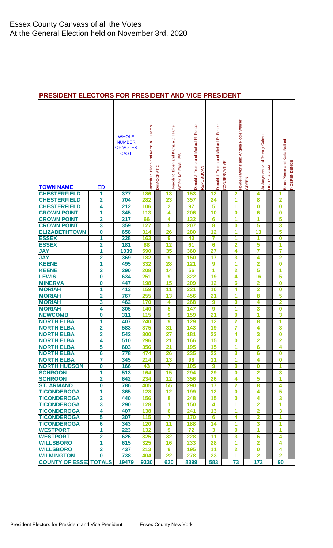| <b>TOWN NAME</b>                        | <b>ED</b>                    | <b>WHOLE</b><br><b>NUMBER</b><br><b>OF VOTES</b><br><b>CAST</b> | Biden and Kamala D. Harris<br>Joseph R. | DEMOCRATIC | Joseph R. Biden and Kamala D. Harris | <b>WORKING FAMILIES</b> | Donald J. Trump and Michael R. Pence | <b>REPUBLICAN</b> | Donald J. Trump and Michael R. Pence | CONSERVATIVI | Howie Hawkins and Angela Nicole Walker | GREEN | lo Jorgensen and Jeremy Cohen | <b>LIBERTARIAN</b> | Brock Pierce and Karla Ballard | <b>INDEPENDENCE</b> |
|-----------------------------------------|------------------------------|-----------------------------------------------------------------|-----------------------------------------|------------|--------------------------------------|-------------------------|--------------------------------------|-------------------|--------------------------------------|--------------|----------------------------------------|-------|-------------------------------|--------------------|--------------------------------|---------------------|
| <b>CHESTERFIELD</b>                     | 1                            | 377                                                             | 186                                     |            | 13                                   |                         | 153                                  |                   | 12                                   |              | 2                                      |       | 4                             |                    | 1                              |                     |
| <b>CHESTERFIELD</b>                     | $\overline{\mathbf{2}}$      | 704                                                             | 282                                     |            | 23                                   |                         | 357                                  |                   | 24                                   |              | 1                                      |       | 8                             |                    | $\overline{\mathbf{2}}$        |                     |
| <b>CHESTERFIELD</b>                     | 4                            | 212                                                             | 106                                     |            | $\overline{\mathbf{2}}$              |                         | 97                                   |                   | 5                                    |              | 1                                      |       | 0                             |                    | $\bf{0}$                       |                     |
| <b>CROWN POINT</b>                      | 1                            | 345                                                             | 113                                     |            | 4                                    |                         | 206                                  |                   | 10                                   |              | 0                                      |       | 6                             |                    | $\overline{\mathbf{0}}$        |                     |
| <b>CROWN POINT</b>                      | $\overline{\mathbf{2}}$      | 217                                                             | 66                                      |            | 4                                    |                         | 132                                  |                   | 6                                    |              | 1                                      |       | 1                             |                    | 5                              |                     |
| <b>CROWN POINT</b>                      | 3                            | 359                                                             | 127                                     |            | 5                                    |                         | 207                                  |                   | 8                                    |              | 0                                      |       | 5                             |                    | 3                              |                     |
| <b>ELIZABETHTOWN</b>                    | $\bf{0}$                     | 658                                                             | 314                                     |            | 26                                   |                         | 280                                  |                   | 12                                   |              | 1                                      |       | $\overline{13}$               |                    | 5                              |                     |
| <b>ESSEX</b>                            | 1                            | 228                                                             | 163                                     |            | 9                                    |                         | 43                                   |                   | 7                                    |              | 1                                      |       | 1                             |                    | $\overline{\mathbf{0}}$        |                     |
| <b>ESSEX</b>                            | $\overline{2}$               | 181                                                             | 88                                      |            | 12                                   |                         | 61                                   |                   | 6                                    |              | $\overline{\mathbf{2}}$                |       | 5                             |                    | 1                              |                     |
| <b>JAY</b>                              | 1                            | 1039                                                            | 590                                     |            | 35                                   |                         | 360                                  |                   | $\overline{27}$                      |              | 4                                      |       | 7                             |                    | 7                              |                     |
| <b>JAY</b>                              | $\overline{2}$               | 369                                                             | 182                                     |            | 9                                    |                         | 150                                  |                   | 17                                   |              | 3                                      |       | 4                             |                    | $\overline{\mathbf{2}}$        |                     |
| <b>KEENE</b>                            | $\overline{\mathbf{1}}$      | 495                                                             | 332                                     |            | 28                                   |                         | $\overline{121}$                     |                   | 9                                    |              | 1                                      |       | $\overline{2}$                |                    | $\overline{\mathbf{0}}$        |                     |
| <b>KEENE</b>                            | $\overline{\mathbf{2}}$      | 290                                                             | 208                                     |            | 14                                   |                         | 56                                   |                   | 1                                    |              | $\overline{2}$                         |       | 5                             |                    | 1                              |                     |
| <b>LEWIS</b>                            | $\overline{\mathbf{0}}$      | 634                                                             | 251                                     |            | 9                                    |                         | 322                                  |                   | 19                                   |              | 4                                      |       | 16                            |                    | 5                              |                     |
| <b>MINERVA</b>                          | $\boldsymbol{0}$             | 447                                                             | 198                                     |            | 15                                   |                         | 209                                  |                   | 12                                   |              | 6                                      |       | $\overline{\mathbf{2}}$       |                    | $\overline{\mathbf{0}}$        |                     |
| <b>MORIAH</b>                           | 1                            | 413                                                             | 159                                     |            | 11                                   |                         | 221                                  |                   | 10                                   |              | 4                                      |       | $\overline{\mathbf{2}}$       |                    | $\bf{0}$                       |                     |
| <b>MORIAH</b>                           | $\overline{2}$               | 767                                                             | 255                                     |            | 13                                   |                         | 456                                  |                   | $\overline{21}$                      |              | 1                                      |       | 8                             |                    | 5                              |                     |
| <b>MORIAH</b>                           | 3                            | 462                                                             | 170                                     |            | 4                                    |                         | 268                                  |                   | 9                                    |              | 0                                      |       | 4                             |                    | $\overline{\mathbf{2}}$        |                     |
| <b>MORIAH</b>                           | 4                            | 305                                                             | 140                                     |            | 5                                    |                         | 147                                  |                   | 9                                    |              | 1                                      |       | 3                             |                    | $\bf{0}$                       |                     |
| <b>NEWCOMB</b>                          | $\bf{0}$                     | 311                                                             | 115                                     |            | 9                                    |                         | 159                                  |                   | $\overline{21}$                      |              | $\bf{0}$                               |       | 1                             |                    | $\overline{\mathbf{3}}$        |                     |
| <b>NORTH ELBA</b>                       | 1                            | 407                                                             | 240                                     |            | 9                                    |                         | 129                                  |                   | 12                                   |              | $\overline{\mathbf{2}}$                |       | 8                             |                    | 1                              |                     |
| LBA<br><b>NORTH EI</b>                  | $\overline{\mathbf{2}}$      | 583                                                             | 375                                     |            | 31                                   |                         | 143                                  |                   | 19                                   |              | 7                                      |       | 4                             |                    | 3                              |                     |
| <b>NORTH ELBA</b>                       | 3                            | 542                                                             | 300                                     |            | 27                                   |                         | 181                                  |                   | 23                                   |              | 4                                      |       | 3                             |                    | $\bf{0}$                       |                     |
| <b>NORTH ELBA</b>                       | 4                            | 510                                                             | 296                                     |            | 21                                   |                         | 166                                  |                   | 15                                   |              | 0                                      |       | $\overline{2}$                |                    | $\overline{2}$                 |                     |
| <b>NORTH ELBA</b>                       | 5                            | 603                                                             | 356.                                    |            | 21                                   |                         | 195                                  |                   | 15                                   |              |                                        |       | 6                             |                    | 4                              |                     |
| <b>NORTH ELBA</b>                       | 6                            | 778                                                             | 474                                     |            | 26                                   |                         | 235                                  |                   | 22                                   |              | 3                                      |       | 6                             |                    | $\bf{0}$                       |                     |
| <b>NORTH ELBA</b>                       | 7                            | 345                                                             | 214                                     |            | 13                                   |                         | 98                                   |                   | 11                                   |              | 1                                      |       | 4                             |                    | $\bf{0}$                       |                     |
| <b>NORTH HUDSON</b>                     | $\bf{0}$                     | 166                                                             | 43                                      |            | 7                                    |                         | 105                                  |                   | 9                                    |              | $\bf{0}$                               |       | $\bf{0}$                      |                    | 1                              |                     |
| <b>SCHROON</b>                          | 1                            | 513                                                             | 164                                     |            | 15                                   |                         | 294                                  |                   | 29                                   |              | $\bf{0}$                               |       | $\overline{\mathbf{2}}$       |                    | 3                              |                     |
| <b>SCHROON</b>                          | $\overline{\mathbf{2}}$      | 642                                                             | 234                                     |            | 12                                   |                         | 356                                  |                   | 26                                   |              | 4                                      |       | 5                             |                    | 1                              |                     |
| <b>ST. ARMAND</b><br><b>TICONDEROGA</b> | $\bf{0}$                     | 786                                                             | 405                                     |            | 55                                   |                         | 290                                  |                   | 17                                   |              | $\overline{2}$                         |       | 8                             |                    | 4                              |                     |
| <b>TICONDEROGA</b>                      | 1<br>$\overline{\mathbf{2}}$ | 365<br>440                                                      | 128<br>156                              |            | 12<br>8                              |                         | 199                                  |                   | 12<br>15                             |              | $\bf{0}$<br>$\bf{0}$                   |       | 4<br>4                        |                    | 5<br>3                         |                     |
| <b>TICONDEROGA</b>                      | 3                            | 290                                                             | 128                                     |            | 1                                    |                         | 248<br>150                           |                   | 4                                    |              | 1                                      |       | $\overline{2}$                |                    | 1                              |                     |
| <b>TICONDEROGA</b>                      | 4                            | 407                                                             | 138                                     |            | 6                                    |                         | 241                                  |                   | 13                                   |              | 1                                      |       | $\overline{2}$                |                    | 3                              |                     |
| <b>TICONDEROGA</b>                      | 5                            | 307                                                             | 115                                     |            | 7                                    |                         | 170                                  |                   | 6                                    |              | 4                                      |       | $\overline{2}$                |                    | 1                              |                     |
| <b>TICONDEROGA</b>                      | 6                            | 343                                                             | 120                                     |            | 11                                   |                         | 188                                  |                   | 14                                   |              | 1                                      |       | 3                             |                    | 1                              |                     |
| <b>WESTPORT</b>                         | 1                            | 223                                                             | 132                                     |            | 9                                    |                         | $\overline{72}$                      |                   | 3                                    |              | $\bf{0}$                               |       | 1                             |                    | 1                              |                     |
| <b>WESTPORT</b>                         | $\overline{\mathbf{2}}$      | 626                                                             | 325                                     |            | 32                                   |                         | 228                                  |                   | 11                                   |              | 3                                      |       | 6                             |                    | 4                              |                     |
| <b>WILLSBORO</b>                        | 1                            | 615                                                             | 325                                     |            | 16                                   |                         | 233                                  |                   | 28                                   |              | 1                                      |       | $\overline{\mathbf{2}}$       |                    | 4                              |                     |
| <b>WILLSBORO</b>                        | $\overline{2}$               | 437                                                             | 213                                     |            | 9                                    |                         | 195                                  |                   | 11                                   |              | $\overline{2}$                         |       | $\bf{0}$                      |                    | 4                              |                     |
| <b>WILMINGTON</b>                       | $\bf{0}$                     | 738                                                             | 404                                     |            | 22                                   |                         | 278                                  |                   | 23                                   |              | 1                                      |       | $\overline{2}$                |                    | $\overline{2}$                 |                     |
| <b>COUNTY OF ESSE TOTALS</b>            |                              | 19479                                                           | 9330                                    |            | 620                                  |                         | 8399                                 |                   | 583                                  |              | 73                                     |       | 173                           |                    | 90                             |                     |

## <span id="page-1-0"></span>**PRESIDENT ELECTORS FOR PRESIDENT AND VICE PRESIDENT**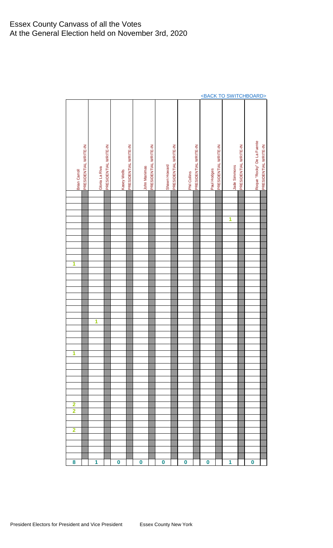|                      |                       |                         |                       |                         |                       |              |                       |                         |                       |                  |                       |                         |                       |              |                       | <u><back switchboard="" to=""></back></u> |                       |
|----------------------|-----------------------|-------------------------|-----------------------|-------------------------|-----------------------|--------------|-----------------------|-------------------------|-----------------------|------------------|-----------------------|-------------------------|-----------------------|--------------|-----------------------|-------------------------------------------|-----------------------|
| <b>Brian Carroll</b> | PRESIDENTIAL WRITE-IN | Gloria La Riva          | PRESIDENTIAL WRITE-IN | Kasey Wells             | PRESIDENTIAL WRITE-IN | John Manimas | PRESIDENTIAL WRITE-IN | Shawn Howard            | PRESIDENTIAL WRITE-IN | Phil Collins     | PRESIDENTIAL WRITE-IN | Paul Hodges             | PRESIDENTIAL WRITE-IN | Jade Simmons | PRESIDENTIAL WRITE-IN | Roque "Rocky" De La Fuente                | PRESIDENTIAL WRITE-IN |
|                      |                       |                         |                       |                         |                       |              |                       |                         |                       |                  |                       |                         |                       |              |                       |                                           |                       |
|                      |                       |                         |                       |                         |                       |              |                       |                         |                       |                  |                       |                         |                       |              |                       |                                           |                       |
|                      |                       |                         |                       |                         |                       |              |                       |                         |                       |                  |                       |                         |                       |              |                       |                                           |                       |
|                      |                       |                         |                       |                         |                       |              |                       |                         |                       |                  |                       |                         |                       |              |                       |                                           |                       |
|                      |                       |                         |                       |                         |                       |              |                       |                         |                       |                  |                       |                         |                       | 1            |                       |                                           |                       |
|                      |                       |                         |                       |                         |                       |              |                       |                         |                       |                  |                       |                         |                       |              |                       |                                           |                       |
|                      |                       |                         |                       |                         |                       |              |                       |                         |                       |                  |                       |                         |                       |              |                       |                                           |                       |
|                      |                       |                         |                       |                         |                       |              |                       |                         |                       |                  |                       |                         |                       |              |                       |                                           |                       |
|                      |                       |                         |                       |                         |                       |              |                       |                         |                       |                  |                       |                         |                       |              |                       |                                           |                       |
|                      |                       |                         |                       |                         |                       |              |                       |                         |                       |                  |                       |                         |                       |              |                       |                                           |                       |
| 1                    |                       |                         |                       |                         |                       |              |                       |                         |                       |                  |                       |                         |                       |              |                       |                                           |                       |
|                      |                       |                         |                       |                         |                       |              |                       |                         |                       |                  |                       |                         |                       |              |                       |                                           |                       |
|                      |                       |                         |                       |                         |                       |              |                       |                         |                       |                  |                       |                         |                       |              |                       |                                           |                       |
|                      |                       |                         |                       |                         |                       |              |                       |                         |                       |                  |                       |                         |                       |              |                       |                                           |                       |
|                      |                       |                         |                       |                         |                       |              |                       |                         |                       |                  |                       |                         |                       |              |                       |                                           |                       |
|                      |                       |                         |                       |                         |                       |              |                       |                         |                       |                  |                       |                         |                       |              |                       |                                           |                       |
|                      |                       |                         |                       |                         |                       |              |                       |                         |                       |                  |                       |                         |                       |              |                       |                                           |                       |
|                      |                       |                         |                       |                         |                       |              |                       |                         |                       |                  |                       |                         |                       |              |                       |                                           |                       |
|                      |                       |                         |                       |                         |                       |              |                       |                         |                       |                  |                       |                         |                       |              |                       |                                           |                       |
|                      |                       | $\overline{\mathbf{1}}$ |                       |                         |                       |              |                       |                         |                       |                  |                       |                         |                       |              |                       |                                           |                       |
|                      |                       |                         |                       |                         |                       |              |                       |                         |                       |                  |                       |                         |                       |              |                       |                                           |                       |
|                      |                       |                         |                       |                         |                       |              |                       |                         |                       |                  |                       |                         |                       |              |                       |                                           |                       |
|                      |                       |                         |                       |                         |                       |              |                       |                         |                       |                  |                       |                         |                       |              |                       |                                           |                       |
|                      |                       |                         |                       |                         |                       |              |                       |                         |                       |                  |                       |                         |                       |              |                       |                                           |                       |
| 1                    |                       |                         |                       |                         |                       |              |                       |                         |                       |                  |                       |                         |                       |              |                       |                                           |                       |
|                      |                       |                         |                       |                         |                       |              |                       |                         |                       |                  |                       |                         |                       |              |                       |                                           |                       |
|                      |                       |                         |                       |                         |                       |              |                       |                         |                       |                  |                       |                         |                       |              |                       |                                           |                       |
|                      |                       |                         |                       |                         |                       |              |                       |                         |                       |                  |                       |                         |                       |              |                       |                                           |                       |
|                      |                       |                         |                       |                         |                       |              |                       |                         |                       |                  |                       |                         |                       |              |                       |                                           |                       |
|                      |                       |                         |                       |                         |                       |              |                       |                         |                       |                  |                       |                         |                       |              |                       |                                           |                       |
|                      |                       |                         |                       |                         |                       |              |                       |                         |                       |                  |                       |                         |                       |              |                       |                                           |                       |
| 2                    |                       |                         |                       |                         |                       |              |                       |                         |                       |                  |                       |                         |                       |              |                       |                                           |                       |
| $\overline{2}$       |                       |                         |                       |                         |                       |              |                       |                         |                       |                  |                       |                         |                       |              |                       |                                           |                       |
|                      |                       |                         |                       |                         |                       |              |                       |                         |                       |                  |                       |                         |                       |              |                       |                                           |                       |
|                      |                       |                         |                       |                         |                       |              |                       |                         |                       |                  |                       |                         |                       |              |                       |                                           |                       |
| $\overline{2}$       |                       |                         |                       |                         |                       |              |                       |                         |                       |                  |                       |                         |                       |              |                       |                                           |                       |
|                      |                       |                         |                       |                         |                       |              |                       |                         |                       |                  |                       |                         |                       |              |                       |                                           |                       |
|                      |                       |                         |                       |                         |                       |              |                       |                         |                       |                  |                       |                         |                       |              |                       |                                           |                       |
|                      |                       |                         |                       |                         |                       |              |                       |                         |                       |                  |                       |                         |                       |              |                       |                                           |                       |
|                      |                       |                         |                       |                         |                       |              |                       |                         |                       |                  |                       |                         |                       |              |                       |                                           |                       |
| 8                    |                       | 1                       |                       | $\overline{\mathbf{0}}$ |                       | 0            |                       | $\overline{\mathbf{0}}$ |                       | $\boldsymbol{0}$ |                       | $\overline{\mathbf{0}}$ |                       | 1            |                       | $\boldsymbol{0}$                          |                       |

<u>[<BACK TO SWITCHBOARD>](#page-0-0)</u>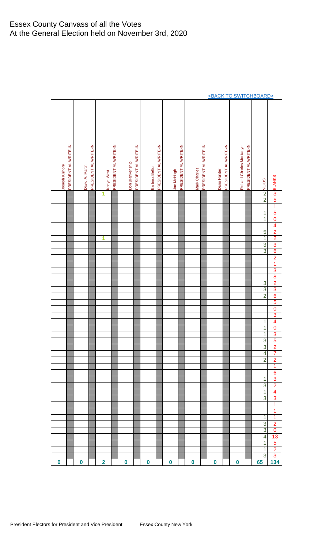|                  |                       |                 |                       |                         |                       |                  |                       |                  |                       |            |                       |              |                       | <u><back switchboard="" to=""></back></u> |                       |                          |                       |                         |                                                         |
|------------------|-----------------------|-----------------|-----------------------|-------------------------|-----------------------|------------------|-----------------------|------------------|-----------------------|------------|-----------------------|--------------|-----------------------|-------------------------------------------|-----------------------|--------------------------|-----------------------|-------------------------|---------------------------------------------------------|
| Joseph Kishore   | PRESIDENTIAL WRITE-IN | David A. Martin | PRESIDENTIAL WRITE-IN | Kanye West              | PRESIDENTIAL WRITE-IN | Don Blankenship  | PRESIDENTIAL WRITE-IN | Barbara Bellar   | PRESIDENTIAL WRITE-IN | Joe McHugh | PRESIDENTIAL WRITE-IN | Mark Charles | PRESIDENTIAL WRITE-IN | Dario Hunter                              | PRESIDENTIAL WRITE-IN | Richard Charles Montanye | PRESIDENTIAL WRITE-IN | NNVOIDS                 | sylvral 3 5 1 5 0 4 2 2 3 6 2 1 3 8 2 3 6 5 0 3 4 0 3 5 |
|                  |                       |                 |                       | 1                       |                       |                  |                       |                  |                       |            |                       |              |                       |                                           |                       |                          |                       |                         |                                                         |
|                  |                       |                 |                       |                         |                       |                  |                       |                  |                       |            |                       |              |                       |                                           |                       |                          |                       |                         |                                                         |
|                  |                       |                 |                       |                         |                       |                  |                       |                  |                       |            |                       |              |                       |                                           |                       |                          |                       |                         |                                                         |
|                  |                       |                 |                       |                         |                       |                  |                       |                  |                       |            |                       |              |                       |                                           |                       |                          |                       | $\overline{1}$          |                                                         |
|                  |                       |                 |                       |                         |                       |                  |                       |                  |                       |            |                       |              |                       |                                           |                       |                          |                       |                         |                                                         |
|                  |                       |                 |                       |                         |                       |                  |                       |                  |                       |            |                       |              |                       |                                           |                       |                          |                       | $\overline{1}$          |                                                         |
|                  |                       |                 |                       |                         |                       |                  |                       |                  |                       |            |                       |              |                       |                                           |                       |                          |                       |                         |                                                         |
|                  |                       |                 |                       |                         |                       |                  |                       |                  |                       |            |                       |              |                       |                                           |                       |                          |                       | 5                       |                                                         |
|                  |                       |                 |                       | 1                       |                       |                  |                       |                  |                       |            |                       |              |                       |                                           |                       |                          |                       | $\overline{1}$          |                                                         |
|                  |                       |                 |                       |                         |                       |                  |                       |                  |                       |            |                       |              |                       |                                           |                       |                          |                       |                         |                                                         |
|                  |                       |                 |                       |                         |                       |                  |                       |                  |                       |            |                       |              |                       |                                           |                       |                          |                       | $\frac{3}{3}$           |                                                         |
|                  |                       |                 |                       |                         |                       |                  |                       |                  |                       |            |                       |              |                       |                                           |                       |                          |                       |                         |                                                         |
|                  |                       |                 |                       |                         |                       |                  |                       |                  |                       |            |                       |              |                       |                                           |                       |                          |                       |                         |                                                         |
|                  |                       |                 |                       |                         |                       |                  |                       |                  |                       |            |                       |              |                       |                                           |                       |                          |                       |                         |                                                         |
|                  |                       |                 |                       |                         |                       |                  |                       |                  |                       |            |                       |              |                       |                                           |                       |                          |                       |                         |                                                         |
|                  |                       |                 |                       |                         |                       |                  |                       |                  |                       |            |                       |              |                       |                                           |                       |                          |                       |                         |                                                         |
|                  |                       |                 |                       |                         |                       |                  |                       |                  |                       |            |                       |              |                       |                                           |                       |                          |                       |                         |                                                         |
|                  |                       |                 |                       |                         |                       |                  |                       |                  |                       |            |                       |              |                       |                                           |                       |                          |                       | $\frac{3}{2}$           |                                                         |
|                  |                       |                 |                       |                         |                       |                  |                       |                  |                       |            |                       |              |                       |                                           |                       |                          |                       |                         |                                                         |
|                  |                       |                 |                       |                         |                       |                  |                       |                  |                       |            |                       |              |                       |                                           |                       |                          |                       |                         |                                                         |
|                  |                       |                 |                       |                         |                       |                  |                       |                  |                       |            |                       |              |                       |                                           |                       |                          |                       |                         |                                                         |
|                  |                       |                 |                       |                         |                       |                  |                       |                  |                       |            |                       |              |                       |                                           |                       |                          |                       |                         |                                                         |
|                  |                       |                 |                       |                         |                       |                  |                       |                  |                       |            |                       |              |                       |                                           |                       |                          |                       | $\overline{1}$          |                                                         |
|                  |                       |                 |                       |                         |                       |                  |                       |                  |                       |            |                       |              |                       |                                           |                       |                          |                       | $\overline{1}$          |                                                         |
|                  |                       |                 |                       |                         |                       |                  |                       |                  |                       |            |                       |              |                       |                                           |                       |                          |                       | $\overline{1}$          |                                                         |
|                  |                       |                 |                       |                         |                       |                  |                       |                  |                       |            |                       |              |                       |                                           |                       |                          |                       | $\overline{ }$          |                                                         |
|                  |                       |                 |                       |                         |                       |                  |                       |                  |                       |            |                       |              |                       |                                           |                       |                          |                       | 3<br>$\overline{3}$     | $\overline{\mathbf{2}}$                                 |
|                  |                       |                 |                       |                         |                       |                  |                       |                  |                       |            |                       |              |                       |                                           |                       |                          |                       | $\overline{\mathbf{A}}$ | 7                                                       |
|                  |                       |                 |                       |                         |                       |                  |                       |                  |                       |            |                       |              |                       |                                           |                       |                          |                       | $\overline{2}$          |                                                         |
|                  |                       |                 |                       |                         |                       |                  |                       |                  |                       |            |                       |              |                       |                                           |                       |                          |                       |                         | $\overline{2}$                                          |
|                  |                       |                 |                       |                         |                       |                  |                       |                  |                       |            |                       |              |                       |                                           |                       |                          |                       |                         | $\overline{1}$                                          |
|                  |                       |                 |                       |                         |                       |                  |                       |                  |                       |            |                       |              |                       |                                           |                       |                          |                       |                         | 6                                                       |
|                  |                       |                 |                       |                         |                       |                  |                       |                  |                       |            |                       |              |                       |                                           |                       |                          |                       | $\mathbf{1}$            | 3                                                       |
|                  |                       |                 |                       |                         |                       |                  |                       |                  |                       |            |                       |              |                       |                                           |                       |                          |                       | $\overline{3}$          | $\overline{2}$                                          |
|                  |                       |                 |                       |                         |                       |                  |                       |                  |                       |            |                       |              |                       |                                           |                       |                          |                       | $\overline{1}$          | $\overline{\mathbf{4}}$                                 |
|                  |                       |                 |                       |                         |                       |                  |                       |                  |                       |            |                       |              |                       |                                           |                       |                          |                       | $\overline{3}$          | 3                                                       |
|                  |                       |                 |                       |                         |                       |                  |                       |                  |                       |            |                       |              |                       |                                           |                       |                          |                       |                         | $\overline{1}$                                          |
|                  |                       |                 |                       |                         |                       |                  |                       |                  |                       |            |                       |              |                       |                                           |                       |                          |                       |                         | $\overline{1}$                                          |
|                  |                       |                 |                       |                         |                       |                  |                       |                  |                       |            |                       |              |                       |                                           |                       |                          |                       | $\mathbf{1}$            | $\overline{1}$                                          |
|                  |                       |                 |                       |                         |                       |                  |                       |                  |                       |            |                       |              |                       |                                           |                       |                          |                       | ω                       | $\overline{2}$                                          |
|                  |                       |                 |                       |                         |                       |                  |                       |                  |                       |            |                       |              |                       |                                           |                       |                          |                       | 3                       | $\pmb{0}$                                               |
|                  |                       |                 |                       |                         |                       |                  |                       |                  |                       |            |                       |              |                       |                                           |                       |                          |                       | $\overline{\mathbf{A}}$ | 13                                                      |
|                  |                       |                 |                       |                         |                       |                  |                       |                  |                       |            |                       |              |                       |                                           |                       |                          |                       | $\overline{1}$          | 5                                                       |
|                  |                       |                 |                       |                         |                       |                  |                       |                  |                       |            |                       |              |                       |                                           |                       |                          |                       | $\mathbf{1}$            | $\overline{2}$                                          |
|                  |                       |                 |                       |                         |                       |                  |                       |                  |                       |            |                       |              |                       |                                           |                       |                          |                       | 3                       | 3                                                       |
| $\boldsymbol{0}$ |                       | $\bf{0}$        |                       | $\overline{\mathbf{2}}$ |                       | $\boldsymbol{0}$ |                       | $\boldsymbol{0}$ |                       | $\bf{0}$   |                       | $\bf{0}$     |                       | $\bf{0}$                                  |                       | $\bf{0}$                 |                       | 65                      | 134                                                     |
|                  |                       |                 |                       |                         |                       |                  |                       |                  |                       |            |                       |              |                       |                                           |                       |                          |                       |                         |                                                         |

[<BACK TO SWITCHBOARD>](#page-0-0)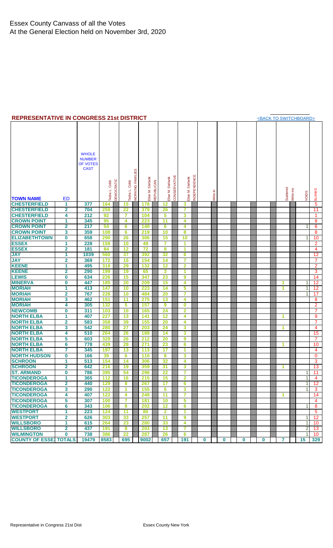#### <span id="page-4-0"></span>**REPRESENTATIVE IN CONGRESS 21st DISTRICT SERVICE AND REPRESENTATIVE IN CONGRESS 21st DISTRICT**

| <b>TOWN NAME</b>              | ED                      | <b>WHOLE</b><br><b>NUMBER</b><br><b>OF VOTES</b><br><b>CAST</b> | DEMOCRATIC<br>Tedra L. Cobb | <b><i>NORKING FAMILIES</i></b><br>edra L. Cobb | Elise M. Stefanik<br>REPUBLICAN | CONSERVATIVE<br>Elise M. Stefanik | Elise M. Stefanik | <b>INDEPENDENCE</b> | Write-In    |             |          | Scattered | Write-ins<br>VOIDS | <b>BLANKS</b>   |
|-------------------------------|-------------------------|-----------------------------------------------------------------|-----------------------------|------------------------------------------------|---------------------------------|-----------------------------------|-------------------|---------------------|-------------|-------------|----------|-----------|--------------------|-----------------|
| <b>CHESTERFIELD</b>           | 1                       | 377                                                             | 164                         | 15                                             | 178                             | 12                                | 3                 |                     |             |             |          |           |                    | 5               |
| <b>CHESTERFIELD</b>           | $\overline{2}$          | 704                                                             | 259                         | $\overline{22}$                                | 379                             | 26                                | 7                 |                     |             |             |          |           |                    | 11              |
| <b>CHESTERFIELD</b>           | 4                       | 212                                                             | 92                          | 7                                              | 104                             | 5                                 | 3                 |                     |             |             |          |           |                    | 1               |
| <b>CROWN POINT</b>            | 1                       | 345                                                             | 95                          | 4                                              | 223                             | $\overline{11}$                   | 4                 |                     |             |             |          |           |                    | 8               |
| <b>CROWN POINT</b>            | $\overline{\mathbf{2}}$ | 217                                                             | 54                          | 6                                              | 140                             | 6                                 | 4                 |                     |             |             |          |           | 1                  | 6               |
| <b>CROWN POINT</b>            | 3                       | 359                                                             | 108                         | 6                                              | 219                             | 10                                |                   |                     |             |             |          |           |                    | 8               |
|                               |                         |                                                                 |                             |                                                |                                 |                                   | 8                 |                     |             |             |          |           |                    |                 |
| <b>ELIZABETHTOWN</b>          | $\bf{0}$                | 658                                                             | 290                         | 26                                             | 306                             | 15                                | 10                |                     |             |             |          |           | 1                  | 10              |
| <b>ESSEX</b>                  | 1                       | 228                                                             | 159                         | 10                                             | 49                              | $\overline{7}$                    | 1                 |                     |             |             |          |           |                    | 2               |
| <b>ESSEX</b>                  | $\overline{\mathbf{2}}$ | 181                                                             | 84                          | 12                                             | 72                              | 8                                 | 1                 |                     |             |             |          |           |                    | $\overline{4}$  |
| <b>JAY</b>                    | 1                       | 1039                                                            | 560                         | 37                                             | 392                             | 32                                | 6                 |                     |             |             |          |           |                    | 12              |
| <b>JAY</b>                    | $\overline{2}$          | 369                                                             | 172                         | 15                                             | 154                             | 14                                | 7                 |                     |             |             |          |           |                    | $\overline{7}$  |
| <b>KEENE</b>                  | 1                       | 495                                                             | 318                         | 29                                             | 132                             | 12                                | $\overline{2}$    |                     |             |             |          |           |                    | $\overline{2}$  |
| <b>KEENE</b>                  | $\overline{\mathbf{2}}$ | 290                                                             | 199                         | 19                                             | 65                              | 3                                 | 1                 |                     |             |             |          |           |                    | 3               |
| <b>LEWIS</b>                  |                         |                                                                 |                             |                                                |                                 |                                   |                   |                     |             |             |          |           |                    |                 |
|                               | $\bf{0}$                | 634                                                             | 226                         | 15                                             | 347                             | 23                                | 9                 |                     |             |             |          |           |                    | 14              |
| <b>MINERVA</b>                | $\bf{0}$                | 447                                                             | 185                         | 20                                             | 209                             | 15                                | 4                 |                     |             |             |          | 1         | 1                  | 12              |
| <b>MORIAH</b>                 | 1                       | 413                                                             | 147                         | 10                                             | 223                             | 14                                | 5                 |                     |             |             |          | 1         | 1                  | 12              |
| <b>MORIAH</b>                 | $\mathbf{2}$            | 767                                                             | 228                         | 10                                             | 484                             | 20                                | 7                 |                     |             |             |          |           | 1                  | 17              |
| <b>MORIAH</b>                 | 3                       | 462                                                             | 151                         | 11                                             | 275                             | 13                                | 4                 |                     |             |             |          |           |                    | 8               |
| <b>MORIAH</b>                 | 4                       | 305                                                             | 132                         | 5                                              | 157                             | 9                                 | $\bf{0}$          |                     |             |             |          |           |                    | $\overline{2}$  |
| <b>NEWCOMB</b>                | $\bf{0}$                | 311                                                             | 103                         | 10                                             | 165                             | 24                                | $\overline{2}$    |                     |             |             |          |           |                    | $\overline{7}$  |
| <b>NORTH ELBA</b>             | 1                       | 407                                                             | 227                         | 13                                             | 141                             | 12                                | 4                 |                     |             |             |          | 1         |                    | 9               |
| <b>NORTH ELBA</b>             | $\overline{\mathbf{2}}$ | 583                                                             | 358                         | 39                                             | 155                             | 20                                | 4                 |                     |             |             |          |           |                    | $\overline{7}$  |
| <b>NORTH ELBA</b>             | 3                       | 542                                                             | 280                         | 27                                             | 203                             | 24                                | 3                 |                     |             |             |          | 1         |                    | 4               |
|                               |                         |                                                                 |                             |                                                |                                 |                                   |                   |                     |             |             |          |           |                    |                 |
| <b>NORTH ELBA</b>             | 4                       | 510                                                             | 264                         | 26                                             | 188                             | 14                                | 3                 |                     |             |             |          |           |                    | 15              |
| <b>NORTH ELBA</b>             | 5                       | 603                                                             | 329                         | 26                                             | 212                             | <b>20</b>                         | 9                 |                     |             |             |          |           |                    | 7               |
| <b>NORTH ELBA</b>             | $6\phantom{a}$          | 778                                                             | 439                         | 28                                             | 271                             | 23                                | $6\phantom{1}6$   |                     |             |             |          | 1         |                    | 10              |
| <b>NORTH ELBA</b>             | 7                       | 345                                                             | 197                         | 13                                             | 113                             | 17                                | 1                 |                     |             |             |          |           |                    | $\overline{4}$  |
| <b>NORTH HUDSON</b>           | $\bf{0}$                | 166                                                             | 39                          | 6                                              | 110                             | 8                                 | 3                 |                     |             |             |          |           |                    | 0               |
| <b>SCHROON</b>                | 1                       | 513                                                             | 154                         | 14                                             | 306                             | 32                                | 4                 |                     |             |             |          |           |                    | 3               |
| <b>SCHROON</b>                | $\mathbf{2}$            | 642                                                             | 216                         | 19                                             | 359                             | 31                                | 3                 |                     |             |             |          | 1         |                    | 13              |
| <b>ST. ARMAND</b>             | $\bf{0}$                | 786                                                             | 395                         | 54                                             | 296                             | 22                                | 7                 |                     |             |             |          |           | 1                  | 11              |
| <b>TICONDEROGA</b>            | 1                       | 365                                                             | 112                         | 16                                             | 215                             | 15                                | $\mathbf{2}$      |                     |             |             |          |           | $\mathbf{1}$       | 4               |
| <b>TICONDEROGA</b>            | $\overline{2}$          | 440                                                             | 129                         | 8                                              | 267                             | 17                                | 6                 |                     |             |             |          |           | 1                  | 12              |
| <b>TICONDEROGA</b>            | 3                       | 290                                                             | 122                         | $\blacktriangleleft$                           | 155                             | 5                                 | 3                 |                     |             |             |          |           | 1                  | 3               |
| <b>TICONDEROGA</b>            | 4                       | 407                                                             | 122                         | 4                                              | 248                             | 11                                | 7                 |                     |             |             |          | 1         |                    | 14              |
|                               |                         |                                                                 |                             |                                                |                                 |                                   |                   |                     |             |             |          |           |                    |                 |
| <b>TICONDEROGA</b>            | 5                       | 307                                                             | 100                         | 7                                              | 181                             | 10                                | 5                 |                     |             |             |          |           |                    | 4               |
| <b>TICONDEROGA</b>            | 6                       | 343                                                             | 106                         | 8                                              | 202                             | 12                                | 6                 |                     |             |             |          |           | 1                  | 8               |
| <b>WESTPORT</b>               | 1                       | 223                                                             | 124                         | 11                                             | 80                              | $\overline{2}$                    | 1                 |                     |             |             |          |           |                    | 5               |
| <b>WESTPORT</b>               | $\overline{2}$          | 626                                                             | 303                         | 33                                             | 257                             | 11                                | 9                 |                     |             |             |          |           | 1                  | 12              |
| <b>WILLSBORO</b>              | 1                       | 615                                                             | 264                         | 23                                             | 280                             | 33                                | 4                 |                     |             |             |          |           | 1                  | 10              |
| <b>WILLSBORO</b>              | $\overline{2}$          | 437                                                             | 191                         | 8                                              | 203                             | 13                                | 7                 |                     |             |             |          |           | 2                  | 13              |
| <b>WILMINGTON</b>             | $\bf{0}$                | 738                                                             | 386                         | 22                                             | 287                             | 26                                | 6                 |                     |             |             |          |           | 1                  | 10 <sup>°</sup> |
| <b>COUNTY OF ESSE) TOTALS</b> |                         | 19479                                                           | 8583                        | 695                                            | 9002                            | 657                               | 191               | $\bf{0}$            | $\mathbf 0$ | $\mathbf 0$ | $\bf{0}$ | 7         | 15                 | 329             |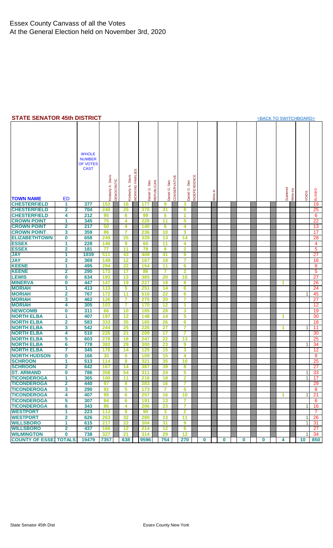#### <span id="page-5-0"></span>Essex County Canvass of all the Votes At the General Election held on November 3rd, 2020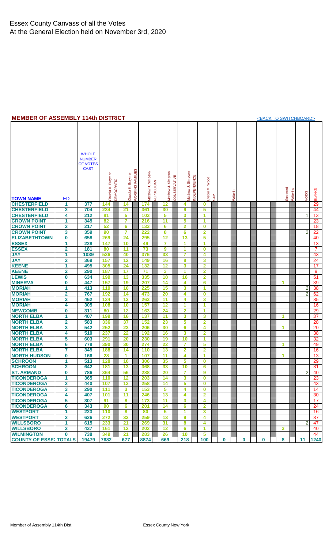#### <span id="page-6-0"></span>**MEMBER OF ASSEMBLY 114th DISTRICT EXECUTED A RESERVED BY A RESERVED BY A RESERVED BY A RESERVED BY A RESERVED BY A RESERVED BY A RESERVED BY A RESERVED BY A RESERVED BY A RESERVED BY A RESERVED BY A RESERVED BY A RESERV**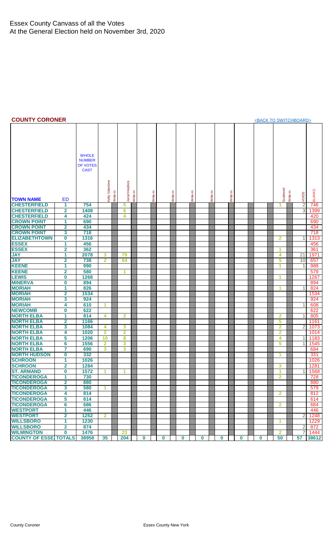## <span id="page-7-0"></span>Essex County Canvass of all the Votes At the General Election held on November 3rd, 2020

| <b>COUNTY CORONER</b>                             |                         |                                                          |                         |          |               |          |             |          |          |          |          |          |             |          |          |          |          |             |                         |          | <back switchboard="" to=""></back> |               |
|---------------------------------------------------|-------------------------|----------------------------------------------------------|-------------------------|----------|---------------|----------|-------------|----------|----------|----------|----------|----------|-------------|----------|----------|----------|----------|-------------|-------------------------|----------|------------------------------------|---------------|
|                                                   |                         | <b>WHOLE</b><br><b>NUMBER</b><br>OF VOTES<br><b>CAST</b> |                         |          |               |          |             |          |          |          |          |          |             |          |          |          |          |             |                         |          |                                    |               |
| <b>TOWN NAME</b>                                  | <b>ED</b>               |                                                          | <b>Kelly Valentine</b>  | Write-In | erod Heidrick | Write-In |             | Write-In |          | Write-In |          | Write-In |             | Write-In |          | Write-In |          |             | Scattered               | Write-In | voips                              | <b>BLANKS</b> |
| <b>CHESTERFIELD</b>                               | 1                       | 754                                                      |                         |          | 5             |          |             |          |          |          |          |          |             |          |          |          |          |             | 1                       |          | $\overline{2}$                     | 746           |
| <b>CHESTERFIELD</b>                               | $\mathbf 2$             | 1408                                                     |                         |          | 6             |          |             |          |          |          |          |          |             |          |          |          |          |             |                         |          | 3                                  | 1399          |
| <b>CHESTERFIELD</b>                               | 4                       | 424                                                      |                         |          | 4             |          |             |          |          |          |          |          |             |          |          |          |          |             |                         |          |                                    | 420           |
| <b>CROWN POINT</b>                                | 1                       | 690                                                      |                         |          |               |          |             |          |          |          |          |          |             |          |          |          |          |             |                         |          |                                    | 690           |
| <b>CROWN POINT</b>                                | 2                       | 434                                                      |                         |          |               |          |             |          |          |          |          |          |             |          |          |          |          |             |                         |          |                                    | 434           |
| <b>CROWN POINT</b>                                | 3                       | 718                                                      |                         |          |               |          |             |          |          |          |          |          |             |          |          |          |          |             |                         |          |                                    | 718           |
| <b>ELIZABETHTOWN</b>                              | $\bf{0}$                | 1316                                                     |                         |          |               |          |             |          |          |          |          |          |             |          |          |          |          |             | $\mathbf{2}$            |          | 11                                 | 1313          |
| <b>ESSEX</b>                                      | 1                       | 456                                                      |                         |          |               |          |             |          |          |          |          |          |             |          |          |          |          |             |                         |          |                                    | 456           |
| <b>ESSEX</b>                                      | 2                       | 362                                                      |                         |          |               |          |             |          |          |          |          |          |             |          |          |          |          |             | 1                       |          |                                    | 361           |
| <b>JAY</b>                                        | 1                       | 2078                                                     | 3                       |          | 79            |          |             |          |          |          |          |          |             |          |          |          |          |             | 4                       |          | 21                                 | 1971          |
| <b>JAY</b>                                        | $\overline{\mathbf{2}}$ | 738                                                      | $\overline{\mathbf{2}}$ |          | 64            |          |             |          |          |          |          |          |             |          |          |          |          |             | 5                       |          | 10                                 | 657           |
| <b>KEENE</b>                                      | 1                       | 990                                                      |                         |          |               |          |             |          |          |          |          |          |             |          |          |          |          |             | 1                       |          | 1                                  | 988           |
| <b>KEENE</b>                                      | $\overline{2}$          | 580                                                      |                         |          | 1             |          |             |          |          |          |          |          |             |          |          |          |          |             |                         |          |                                    | 579           |
| <b>LEWIS</b>                                      | 0                       | 1268                                                     |                         |          |               |          |             |          |          |          |          |          |             |          |          |          |          |             | 1                       |          |                                    | 1267          |
| <b>MINERVA</b>                                    | $\bf{0}$                | 894                                                      |                         |          |               |          |             |          |          |          |          |          |             |          |          |          |          |             |                         |          |                                    | 894           |
| <b>MORIAH</b>                                     | 1                       | 826                                                      |                         |          |               |          |             |          |          |          |          |          |             |          |          |          |          |             | 1                       |          | 1                                  | 824           |
| <b>MORIAH</b>                                     | $\overline{2}$          | 1534                                                     |                         |          |               |          |             |          |          |          |          |          |             |          |          |          |          |             |                         |          |                                    | 1534          |
| <b>MORIAH</b>                                     | 3                       | 924                                                      |                         |          |               |          |             |          |          |          |          |          |             |          |          |          |          |             |                         |          |                                    | 924           |
| <b>MORIAH</b>                                     | 4                       | 610                                                      | 1                       |          |               |          |             |          |          |          |          |          |             |          |          |          |          |             |                         |          | 1                                  | 608           |
| <b>NEWCOMB</b>                                    | $\bf{0}$                | 622                                                      |                         |          |               |          |             |          |          |          |          |          |             |          |          |          |          |             |                         |          |                                    | 622           |
| <b>NORTH ELBA</b>                                 | 1                       | 814                                                      | 4                       |          | 2             |          |             |          |          |          |          |          |             |          |          |          |          |             | 2                       |          | 1                                  | 805           |
| <b>NORTH ELBA</b>                                 | 2                       | 1166                                                     |                         |          |               |          |             |          |          |          |          |          |             |          |          |          |          |             | 5                       |          |                                    | 1161          |
| <b>NORTH ELBA</b>                                 | 3                       | 1084                                                     | 4                       |          | 3             |          |             |          |          |          |          |          |             |          |          |          |          |             | $\overline{\mathbf{2}}$ |          | 2                                  | 1073          |
| <b>NORTH ELBA</b>                                 | 4                       | 1020                                                     | $\overline{2}$          |          | $\mathbf{2}$  |          |             |          |          |          |          |          |             |          |          |          |          |             | $\overline{2}$          |          |                                    | 1014          |
|                                                   |                         |                                                          |                         |          |               |          |             |          |          |          |          |          |             |          |          |          |          |             |                         |          |                                    |               |
| <b>NORTH ELBA</b><br><b>NORTH ELBA</b>            | 5<br>6                  | 1206<br>1556                                             | 10<br>$\overline{2}$    |          | 8<br>3        |          |             |          |          |          |          |          |             |          |          |          |          |             | 4<br>5                  |          | 1<br>1                             | 1183<br>1545  |
| <b>NORTH ELBA</b>                                 | 7                       | 690                                                      | 3                       |          | 3             |          |             |          |          |          |          |          |             |          |          |          |          |             |                         |          |                                    |               |
| <b>NORTH HUDSON</b>                               | 0                       | 332                                                      |                         |          |               |          |             |          |          |          |          |          |             |          |          |          |          |             | 1                       |          |                                    | 684<br>331    |
|                                                   |                         |                                                          |                         |          |               |          |             |          |          |          |          |          |             |          |          |          |          |             |                         |          |                                    |               |
| <b>SCHROON</b><br><b>SCHROON</b>                  | 1<br>$\overline{2}$     | 1026                                                     |                         |          |               |          |             |          |          |          |          |          |             |          |          |          |          |             | 3                       |          |                                    | 1026          |
| <b>ST. ARMAND</b>                                 | $\bf{0}$                | 1284<br>1572                                             | 1                       |          | 1             |          |             |          |          |          |          |          |             |          |          |          |          |             | 1                       |          | 1 <sup>1</sup>                     | 1281<br>1568  |
| <b>TICONDEROGA</b>                                |                         | 730                                                      |                         |          |               |          |             |          |          |          |          |          |             |          |          |          |          |             |                         |          |                                    |               |
| <b>TICONDEROGA</b>                                | 1<br>$\overline{2}$     | 880                                                      |                         |          |               |          |             |          |          |          |          |          |             |          |          |          |          |             | 2                       |          |                                    | 728<br>880    |
| <b>TICONDEROGA</b>                                |                         | 580                                                      |                         |          |               |          |             |          |          |          |          |          |             |          |          |          |          |             |                         |          |                                    |               |
|                                                   | 3                       |                                                          | $\blacktriangleleft$    |          |               |          |             |          |          |          |          |          |             |          |          |          |          |             |                         |          |                                    | 579           |
| <b>TICONDEROGA</b>                                | 4                       | 814<br>614                                               |                         |          |               |          |             |          |          |          |          |          |             |          |          |          |          |             | $\mathbf{2}$            |          |                                    | 812           |
| <b>TICONDEROGA</b>                                | 5                       |                                                          |                         |          |               |          |             |          |          |          |          |          |             |          |          |          |          |             |                         |          |                                    | 614           |
| <b>TICONDEROGA</b><br><b>WESTPORT</b>             | 6                       | 686<br>446                                               |                         |          |               |          |             |          |          |          |          |          |             |          |          |          |          |             | $\mathbf{2}$            |          |                                    | 684<br>446    |
| <b>WESTPORT</b>                                   | 1                       |                                                          |                         |          |               |          |             |          |          |          |          |          |             |          |          |          |          |             |                         |          |                                    |               |
|                                                   | $\overline{\mathbf{2}}$ | 1252                                                     | $\mathbf{2}$            |          |               |          |             |          |          |          |          |          |             |          |          |          |          |             |                         |          | 2                                  | 1248          |
| <b>WILLSBORO</b><br><b>WILLSBORO</b>              | 1                       | 1230                                                     |                         |          |               |          |             |          |          |          |          |          |             |          |          |          |          |             | 1                       |          |                                    | 1229          |
|                                                   | $\overline{2}$          | 874                                                      |                         |          |               |          |             |          |          |          |          |          |             |          |          |          |          |             |                         |          | $\overline{2}$                     | 872           |
| <b>WILMINGTON</b><br><b>COUNTY OF ESSE TOTALS</b> | $\bf{0}$                | 1476<br>38958                                            | 35                      |          | 23<br>204     |          | $\mathbf 0$ |          |          |          |          |          |             |          |          |          |          |             | 2<br>50                 |          | $\overline{7}$<br>57               | 1444<br>38612 |
|                                                   |                         |                                                          |                         |          |               |          |             |          | $\bf{0}$ |          | $\bf{0}$ |          | $\mathbf 0$ |          | $\bf{0}$ |          | $\bf{0}$ | $\mathbf 0$ |                         |          |                                    |               |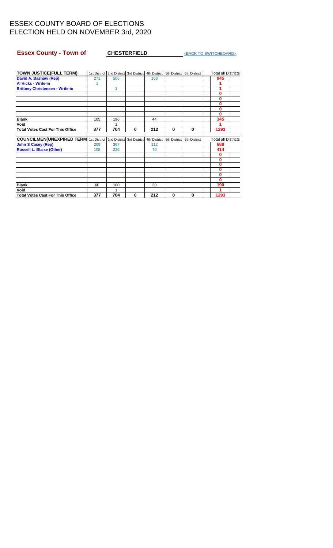# <span id="page-8-0"></span>**Essex County - Town of CHESTERFIELD** And CARCK TO SWITCHBOARD>

| <b>TOWN JUSTICE(FULL TERM)</b>          |     | 1st District   2nd District | 3rd District | 4th District | 5th District | 6th District | <b>Total all Districts</b> |  |
|-----------------------------------------|-----|-----------------------------|--------------|--------------|--------------|--------------|----------------------------|--|
| David A. Bashaw (Rep)                   | 271 | 506                         |              | 168          |              |              | 945                        |  |
| <b>Al Hicks - Write-in</b>              | 1   |                             |              |              |              |              |                            |  |
| <b>Brittney Christensen - Write-in</b>  |     | 1                           |              |              |              |              |                            |  |
|                                         |     |                             |              |              |              |              | 0                          |  |
|                                         |     |                             |              |              |              |              | 0                          |  |
|                                         |     |                             |              |              |              |              | 0                          |  |
|                                         |     |                             |              |              |              |              | 0                          |  |
|                                         |     |                             |              |              |              |              | 0                          |  |
| <b>Blank</b>                            | 105 | 196                         |              | 44           |              |              | 345                        |  |
| Void                                    |     |                             |              |              |              |              |                            |  |
| <b>Total Votes Cast For This Office</b> | 377 | 704                         | $\bf{0}$     | 212          | $\bf{0}$     | $\bf{0}$     | 1293                       |  |
|                                         |     |                             |              |              |              |              |                            |  |
| <b>COUNCILMEN(UNEXPIRED TERM</b>        |     | 1st District 2nd District   | 3rd District | 4th District | 5th District | 6th District | <b>Total all Districts</b> |  |
| <b>John S Casey (Rep)</b>               | 209 | 367                         |              | 112          |              |              | 688                        |  |
| <b>Russell L. Blaise (Other)</b>        | 108 | 236                         |              | 70           |              |              | 414                        |  |
|                                         |     |                             |              |              |              |              | 0                          |  |
|                                         |     |                             |              |              |              |              | 0                          |  |
|                                         |     |                             |              |              |              |              | 0                          |  |
|                                         |     |                             |              |              |              |              | 0                          |  |
|                                         |     |                             |              |              |              |              | 0                          |  |
|                                         |     |                             |              |              |              |              | 0                          |  |
| <b>Blank</b>                            | 60  | 100                         |              | 30           |              |              | 190                        |  |
| Void                                    |     |                             |              |              |              |              |                            |  |
| <b>Total Votes Cast For This Office</b> | 377 | 704                         | 0            | 212          | $\bf{0}$     | 0            | 1293                       |  |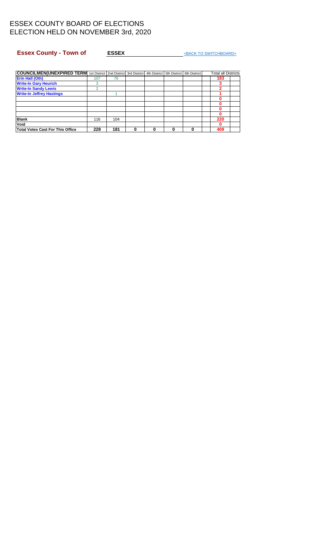<span id="page-9-0"></span>**Essex County - Town of ESSEX** And The Search Town County - Town of

| <b>COUNCILMEN(UNEXPIRED TERM</b> 1st District   2nd District   3rd District   4th District   5th District   6th District |     |     |   |   |   |   | <b>Total all Districts</b> |  |
|--------------------------------------------------------------------------------------------------------------------------|-----|-----|---|---|---|---|----------------------------|--|
| Erin Hall (Oth)                                                                                                          | 107 | 76  |   |   |   |   | 183                        |  |
| <b>Write-In Gary Heurich</b>                                                                                             | 3   |     |   |   |   |   |                            |  |
| <b>Write-In Sandy Lewis</b>                                                                                              |     |     |   |   |   |   | 2                          |  |
| <b>Write-In Jeffrey Hastings</b>                                                                                         |     |     |   |   |   |   |                            |  |
|                                                                                                                          |     |     |   |   |   |   |                            |  |
|                                                                                                                          |     |     |   |   |   |   |                            |  |
|                                                                                                                          |     |     |   |   |   |   |                            |  |
|                                                                                                                          |     |     |   |   |   |   |                            |  |
| <b>Blank</b>                                                                                                             | 116 | 104 |   |   |   |   | 220                        |  |
| Void                                                                                                                     |     |     |   |   |   |   |                            |  |
| Total Votes Cast For This Office                                                                                         | 228 | 181 | n | 0 | 0 | o | 409                        |  |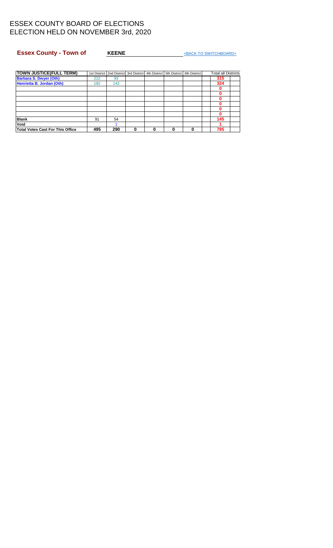<span id="page-10-0"></span>**Essex County - Town of KEENE KEENE KEENE KEENE KEENE KEENE KEENE KEENE KEENE KEENE KEENE KEENE KEENE KEENE KEENE KEENE KEENE KEENE KEENE KEENE KEENE KEENE KEENE KEENE KEENE** 

| <b>TOWN JUSTICE(FULL TERM)</b>          |     |     |   |   |   | 1st District   2nd District   3rd District   4th District   5th District   6th District | <b>Total all Districts</b> |  |
|-----------------------------------------|-----|-----|---|---|---|-----------------------------------------------------------------------------------------|----------------------------|--|
| <b>Barbara S. Dwyer (Oth)</b>           | 222 | 93  |   |   |   |                                                                                         | 315                        |  |
| Henrietta B. Jordan (Oth)               | 182 | 142 |   |   |   |                                                                                         | 324                        |  |
|                                         |     |     |   |   |   |                                                                                         |                            |  |
|                                         |     |     |   |   |   |                                                                                         |                            |  |
|                                         |     |     |   |   |   |                                                                                         |                            |  |
|                                         |     |     |   |   |   |                                                                                         |                            |  |
|                                         |     |     |   |   |   |                                                                                         |                            |  |
|                                         |     |     |   |   |   |                                                                                         |                            |  |
| <b>Blank</b>                            | 91  | 54  |   |   |   |                                                                                         | 145                        |  |
| Void                                    |     |     |   |   |   |                                                                                         |                            |  |
| <b>Total Votes Cast For This Office</b> | 495 | 290 | 0 | 0 | 0 | ŋ                                                                                       | 785                        |  |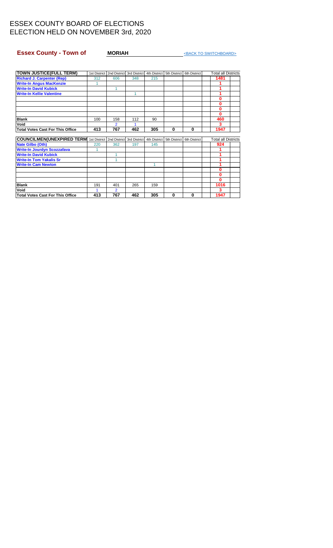#### <span id="page-11-0"></span>**Essex County - Town of MORIAH MORIAH**  $\triangle$ BACK TO SWITCHBOARD>

| TOWN JUSTICE(FULL TERM)                                                 |     |                |     |              | 1st District   2nd District   3rd District   4th District   5th District   6th District |              | <b>Total all Districts</b> |  |
|-------------------------------------------------------------------------|-----|----------------|-----|--------------|-----------------------------------------------------------------------------------------|--------------|----------------------------|--|
| <b>Richard J. Carpenter (Rep)</b>                                       | 312 | 606            | 348 | 215          |                                                                                         |              | 1481                       |  |
| <b>Write-In Angus MacKenzie</b>                                         |     |                |     |              |                                                                                         |              |                            |  |
| <b>Write-In David Kubick</b>                                            |     | 1              |     |              |                                                                                         |              |                            |  |
| <b>Write-In Kellie Valentine</b>                                        |     |                | 4   |              |                                                                                         |              |                            |  |
|                                                                         |     |                |     |              |                                                                                         |              | 0                          |  |
|                                                                         |     |                |     |              |                                                                                         |              | 0                          |  |
|                                                                         |     |                |     |              |                                                                                         |              | 0                          |  |
|                                                                         |     |                |     |              |                                                                                         |              | 0                          |  |
| <b>Blank</b>                                                            | 100 | 158            | 112 | 90           |                                                                                         |              | 460                        |  |
| Void                                                                    |     | 2              |     |              |                                                                                         |              | 3                          |  |
| Total Votes Cast For This Office                                        | 413 | 767            | 462 | 305          | $\bf{0}$                                                                                | 0            | 1947                       |  |
|                                                                         |     |                |     |              |                                                                                         |              |                            |  |
| <b>COUNCILMEN(UNEXPIRED TERM</b> 1st District 2nd District 3rd District |     |                |     | 4th District | 5th District                                                                            | 6th District | <b>Total all Districts</b> |  |
| <b>Nate Gilbo (Oth)</b>                                                 | 220 | 362            | 197 | 145          |                                                                                         |              | 924                        |  |
| <b>Write-In Jourdyn Scozzafava</b>                                      |     |                |     |              |                                                                                         |              |                            |  |
| <b>Write-In David Kubick</b>                                            |     | 4              |     |              |                                                                                         |              |                            |  |
| <b>Write-In Tom Yakalis Sr</b>                                          |     |                |     |              |                                                                                         |              |                            |  |
| <b>Write-In Cam Newton</b>                                              |     |                |     | 1            |                                                                                         |              |                            |  |
|                                                                         |     |                |     |              |                                                                                         |              | 0                          |  |
|                                                                         |     |                |     |              |                                                                                         |              | 0                          |  |
|                                                                         |     |                |     |              |                                                                                         |              | 0                          |  |
| <b>Blank</b>                                                            | 191 | 401            | 265 | 159          |                                                                                         |              | 1016                       |  |
| Void                                                                    |     | $\overline{2}$ |     |              |                                                                                         |              | 3                          |  |
| <b>Total Votes Cast For This Office</b>                                 | 413 | 767            | 462 | 305          | $\bf{0}$                                                                                | 0            | 1947                       |  |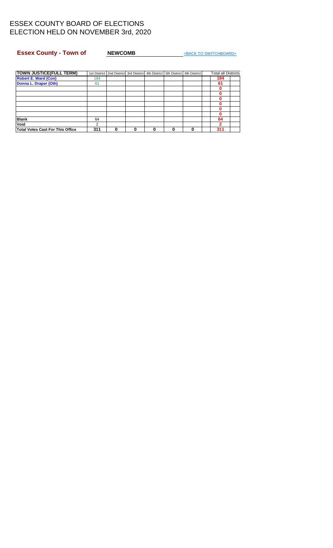#### <span id="page-12-0"></span>**Essex County - Town of NEWCOMB NEWCOMB EXACK TO SWITCHBOARD**

| TOWN JUSTICE(FULL TERM)                 |     |  |  | 1st District   2nd District   3rd District   4th District   5th District   6th District | <b>Total all Districts</b> |  |
|-----------------------------------------|-----|--|--|-----------------------------------------------------------------------------------------|----------------------------|--|
| <b>Robert E. Ward (Con)</b>             | 184 |  |  |                                                                                         | 184                        |  |
| Donna L. Draper (Oth)                   | 61  |  |  |                                                                                         | 61                         |  |
|                                         |     |  |  |                                                                                         |                            |  |
|                                         |     |  |  |                                                                                         |                            |  |
|                                         |     |  |  |                                                                                         |                            |  |
|                                         |     |  |  |                                                                                         |                            |  |
|                                         |     |  |  |                                                                                         |                            |  |
|                                         |     |  |  |                                                                                         |                            |  |
| <b>Blank</b>                            | 64  |  |  |                                                                                         | 64                         |  |
| Void                                    | റ   |  |  |                                                                                         | 2                          |  |
| <b>Total Votes Cast For This Office</b> | 311 |  |  |                                                                                         | 311                        |  |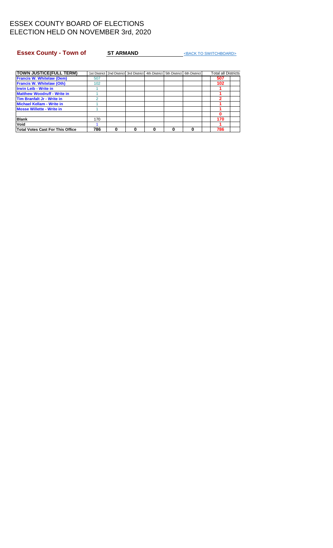#### <span id="page-13-0"></span>**Essex County - Town of ST ARMAND ST ARMAND EXACK TO SWITCHBOARD**

| <b>ITOWN JUSTICE(FULL TERM)</b>    |     | 1st District   2nd District   3rd District   4th District   5th District   6th District |   |   |  | <b>Total all Districts</b> |  |
|------------------------------------|-----|-----------------------------------------------------------------------------------------|---|---|--|----------------------------|--|
| <b>Francis W. Whitelaw (Dem)</b>   | 507 |                                                                                         |   |   |  | 507                        |  |
| <b>Francis W. Whitelaw (Oth)</b>   | 102 |                                                                                         |   |   |  | 102                        |  |
| <b>Irwin Leib - Write in</b>       |     |                                                                                         |   |   |  |                            |  |
| <b>Matthew Woodruff - Write in</b> |     |                                                                                         |   |   |  |                            |  |
| Tim Branfalt Jr - Write in         |     |                                                                                         |   |   |  |                            |  |
| <b>Michael Kellam - Write in</b>   |     |                                                                                         |   |   |  |                            |  |
| <b>Mosse Willette - Write in</b>   |     |                                                                                         |   |   |  |                            |  |
|                                    |     |                                                                                         |   |   |  |                            |  |
| <b>Blank</b>                       | 170 |                                                                                         |   |   |  | 170                        |  |
| Void                               |     |                                                                                         |   |   |  |                            |  |
| Total Votes Cast For This Office   | 786 |                                                                                         | 0 | 0 |  | 786                        |  |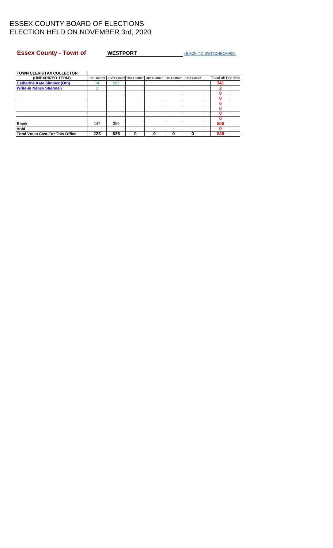#### <span id="page-14-0"></span>**Essex County - Town of WESTPORT** [<BACK TO SWITCHBOARD>](#page-0-0)

| <b>Total Votes Cast For This Office</b> | 223            | 626                         | $\mathbf{0}$ | 0            | 0            | 0            | 849                        |  |
|-----------------------------------------|----------------|-----------------------------|--------------|--------------|--------------|--------------|----------------------------|--|
| Void                                    |                |                             |              |              |              |              | 0                          |  |
| <b>Blank</b>                            | 147            | 359                         |              |              |              |              | 506                        |  |
|                                         |                |                             |              |              |              |              | 0                          |  |
|                                         |                |                             |              |              |              |              | n                          |  |
|                                         |                |                             |              |              |              |              | 0                          |  |
|                                         |                |                             |              |              |              |              | 0                          |  |
|                                         |                |                             |              |              |              |              | 0                          |  |
|                                         |                |                             |              |              |              |              | n                          |  |
| <b>Write-In Nancy Sherman</b>           | $\overline{2}$ |                             |              |              |              |              | 2                          |  |
| <b>Catherine Kate Simmer (Oth)</b>      | 74             | 267                         |              |              |              |              | 341                        |  |
| (UNEXPIRED TERM)                        |                | 1st District   2nd District | 3rd District | 4th District | 5th District | 6th District | <b>Total all Districts</b> |  |
| <b>TOWN CLERK/TAX COLLECTOR</b>         |                |                             |              |              |              |              |                            |  |